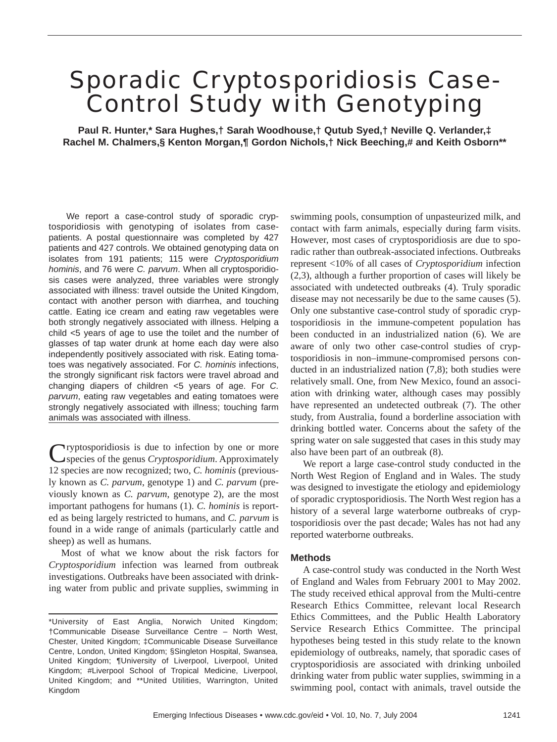# Sporadic Cryptosporidiosis Case-Control Study with Genotyping

**Paul R. Hunter,\* Sara Hughes,† Sarah Woodhouse,† Qutub Syed,† Neville Q. Verlander,‡ Rachel M. Chalmers,§ Kenton Morgan,¶ Gordon Nichols,† Nick Beeching,# and Keith Osborn\*\***

We report a case-control study of sporadic cryptosporidiosis with genotyping of isolates from casepatients. A postal questionnaire was completed by 427 patients and 427 controls. We obtained genotyping data on isolates from 191 patients; 115 were *Cryptosporidium hominis*, and 76 were *C. parvum*. When all cryptosporidiosis cases were analyzed, three variables were strongly associated with illness: travel outside the United Kingdom, contact with another person with diarrhea, and touching cattle. Eating ice cream and eating raw vegetables were both strongly negatively associated with illness. Helping a child <5 years of age to use the toilet and the number of glasses of tap water drunk at home each day were also independently positively associated with risk. Eating tomatoes was negatively associated. For *C. hominis* infections, the strongly significant risk factors were travel abroad and changing diapers of children <5 years of age. For *C. parvum*, eating raw vegetables and eating tomatoes were strongly negatively associated with illness; touching farm animals was associated with illness.

**Tryptosporidiosis is due to infection by one or more** species of the genus *Cryptosporidium*. Approximately 12 species are now recognized; two, *C. hominis* (previously known as *C. parvum*, genotype 1) and *C. parvum* (previously known as *C. parvum*, genotype 2), are the most important pathogens for humans (1). *C. hominis* is reported as being largely restricted to humans, and *C. parvum* is found in a wide range of animals (particularly cattle and sheep) as well as humans.

Most of what we know about the risk factors for *Cryptosporidium* infection was learned from outbreak investigations. Outbreaks have been associated with drinking water from public and private supplies, swimming in

swimming pools, consumption of unpasteurized milk, and contact with farm animals, especially during farm visits. However, most cases of cryptosporidiosis are due to sporadic rather than outbreak-associated infections. Outbreaks represent <10% of all cases of *Cryptosporidium* infection (2,3), although a further proportion of cases will likely be associated with undetected outbreaks (4). Truly sporadic disease may not necessarily be due to the same causes (5). Only one substantive case-control study of sporadic cryptosporidiosis in the immune-competent population has been conducted in an industrialized nation (6). We are aware of only two other case-control studies of cryptosporidiosis in non–immune-compromised persons conducted in an industrialized nation (7,8); both studies were relatively small. One, from New Mexico, found an association with drinking water, although cases may possibly have represented an undetected outbreak (7). The other study, from Australia, found a borderline association with drinking bottled water. Concerns about the safety of the spring water on sale suggested that cases in this study may also have been part of an outbreak (8).

We report a large case-control study conducted in the North West Region of England and in Wales. The study was designed to investigate the etiology and epidemiology of sporadic cryptosporidiosis. The North West region has a history of a several large waterborne outbreaks of cryptosporidiosis over the past decade; Wales has not had any reported waterborne outbreaks.

#### **Methods**

A case-control study was conducted in the North West of England and Wales from February 2001 to May 2002. The study received ethical approval from the Multi-centre Research Ethics Committee, relevant local Research Ethics Committees, and the Public Health Laboratory Service Research Ethics Committee. The principal hypotheses being tested in this study relate to the known epidemiology of outbreaks, namely, that sporadic cases of cryptosporidiosis are associated with drinking unboiled drinking water from public water supplies, swimming in a swimming pool, contact with animals, travel outside the

<sup>\*</sup>University of East Anglia, Norwich United Kingdom; †Communicable Disease Surveillance Centre – North West, Chester, United Kingdom; ‡Communicable Disease Surveillance Centre, London, United Kingdom; §Singleton Hospital, Swansea, United Kingdom; ¶University of Liverpool, Liverpool, United Kingdom; #Liverpool School of Tropical Medicine, Liverpool, United Kingdom; and \*\*United Utilities, Warrington, United Kingdom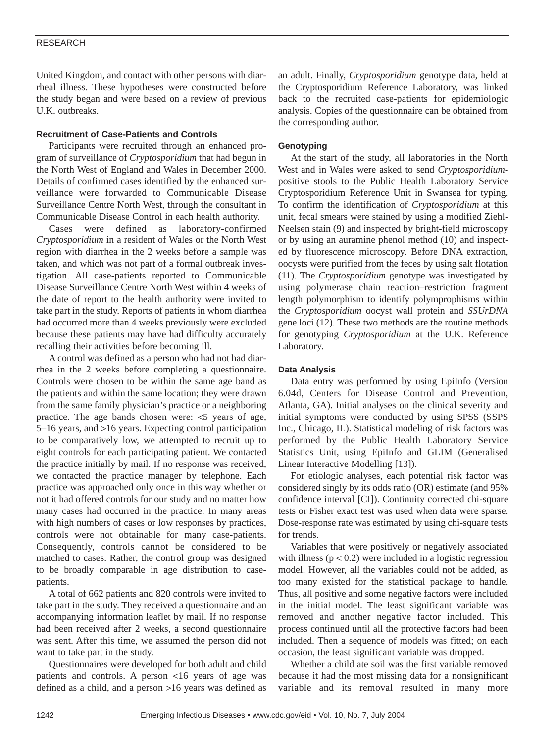United Kingdom, and contact with other persons with diarrheal illness. These hypotheses were constructed before the study began and were based on a review of previous U.K. outbreaks.

## **Recruitment of Case-Patients and Controls**

Participants were recruited through an enhanced program of surveillance of *Cryptosporidium* that had begun in the North West of England and Wales in December 2000. Details of confirmed cases identified by the enhanced surveillance were forwarded to Communicable Disease Surveillance Centre North West, through the consultant in Communicable Disease Control in each health authority.

Cases were defined as laboratory-confirmed *Cryptosporidium* in a resident of Wales or the North West region with diarrhea in the 2 weeks before a sample was taken, and which was not part of a formal outbreak investigation. All case-patients reported to Communicable Disease Surveillance Centre North West within 4 weeks of the date of report to the health authority were invited to take part in the study. Reports of patients in whom diarrhea had occurred more than 4 weeks previously were excluded because these patients may have had difficulty accurately recalling their activities before becoming ill.

A control was defined as a person who had not had diarrhea in the 2 weeks before completing a questionnaire. Controls were chosen to be within the same age band as the patients and within the same location; they were drawn from the same family physician's practice or a neighboring practice. The age bands chosen were: <5 years of age, 5–16 years, and >16 years. Expecting control participation to be comparatively low, we attempted to recruit up to eight controls for each participating patient. We contacted the practice initially by mail. If no response was received, we contacted the practice manager by telephone. Each practice was approached only once in this way whether or not it had offered controls for our study and no matter how many cases had occurred in the practice. In many areas with high numbers of cases or low responses by practices, controls were not obtainable for many case-patients. Consequently, controls cannot be considered to be matched to cases. Rather, the control group was designed to be broadly comparable in age distribution to casepatients.

A total of 662 patients and 820 controls were invited to take part in the study. They received a questionnaire and an accompanying information leaflet by mail. If no response had been received after 2 weeks, a second questionnaire was sent. After this time, we assumed the person did not want to take part in the study.

Questionnaires were developed for both adult and child patients and controls. A person <16 years of age was defined as a child, and a person  $\geq 16$  years was defined as

an adult. Finally, *Cryptosporidium* genotype data, held at the Cryptosporidium Reference Laboratory, was linked back to the recruited case-patients for epidemiologic analysis. Copies of the questionnaire can be obtained from the corresponding author.

## **Genotyping**

At the start of the study, all laboratories in the North West and in Wales were asked to send *Cryptosporidium*positive stools to the Public Health Laboratory Service Cryptosporidium Reference Unit in Swansea for typing. To confirm the identification of *Cryptosporidium* at this unit, fecal smears were stained by using a modified Ziehl-Neelsen stain (9) and inspected by bright-field microscopy or by using an auramine phenol method (10) and inspected by fluorescence microscopy. Before DNA extraction, oocysts were purified from the feces by using salt flotation (11). The *Cryptosporidium* genotype was investigated by using polymerase chain reaction–restriction fragment length polymorphism to identify polymprophisms within the *Cryptosporidium* oocyst wall protein and *SSUrDNA* gene loci (12). These two methods are the routine methods for genotyping *Cryptosporidium* at the U.K. Reference Laboratory.

## **Data Analysis**

Data entry was performed by using EpiInfo (Version 6.04d, Centers for Disease Control and Prevention, Atlanta, GA). Initial analyses on the clinical severity and initial symptoms were conducted by using SPSS (SSPS Inc., Chicago, IL). Statistical modeling of risk factors was performed by the Public Health Laboratory Service Statistics Unit, using EpiInfo and GLIM (Generalised Linear Interactive Modelling [13]).

For etiologic analyses, each potential risk factor was considered singly by its odds ratio (OR) estimate (and 95% confidence interval [CI]). Continuity corrected chi-square tests or Fisher exact test was used when data were sparse. Dose-response rate was estimated by using chi-square tests for trends.

Variables that were positively or negatively associated with illness ( $p \le 0.2$ ) were included in a logistic regression model. However, all the variables could not be added, as too many existed for the statistical package to handle. Thus, all positive and some negative factors were included in the initial model. The least significant variable was removed and another negative factor included. This process continued until all the protective factors had been included. Then a sequence of models was fitted; on each occasion, the least significant variable was dropped.

Whether a child ate soil was the first variable removed because it had the most missing data for a nonsignificant variable and its removal resulted in many more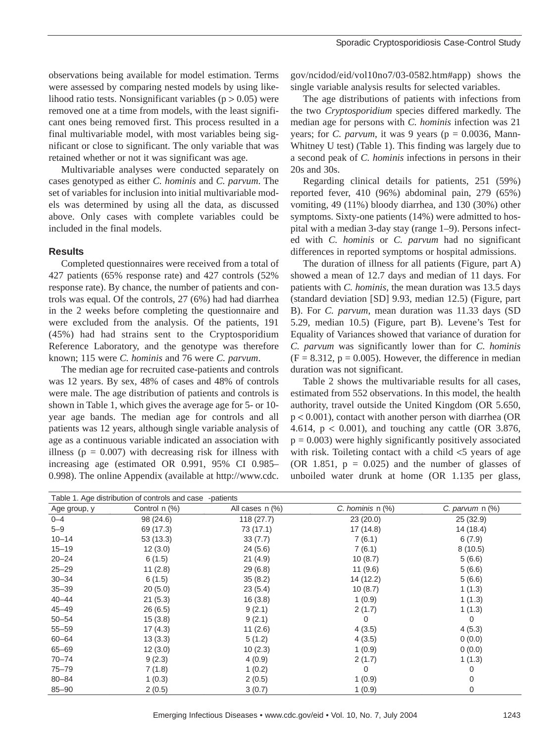observations being available for model estimation. Terms were assessed by comparing nested models by using likelihood ratio tests. Nonsignificant variables ( $p > 0.05$ ) were removed one at a time from models, with the least significant ones being removed first. This process resulted in a final multivariable model, with most variables being significant or close to significant. The only variable that was retained whether or not it was significant was age.

Multivariable analyses were conducted separately on cases genotyped as either *C. hominis* and *C. parvum*. The set of variables for inclusion into initial multivariable models was determined by using all the data, as discussed above. Only cases with complete variables could be included in the final models.

# **Results**

Completed questionnaires were received from a total of 427 patients (65% response rate) and 427 controls (52% response rate). By chance, the number of patients and controls was equal. Of the controls, 27 (6%) had had diarrhea in the 2 weeks before completing the questionnaire and were excluded from the analysis. Of the patients, 191 (45%) had had strains sent to the Cryptosporidium Reference Laboratory, and the genotype was therefore known; 115 were *C. hominis* and 76 were *C. parvum*.

The median age for recruited case-patients and controls was 12 years. By sex, 48% of cases and 48% of controls were male. The age distribution of patients and controls is shown in Table 1, which gives the average age for 5- or 10 year age bands. The median age for controls and all patients was 12 years, although single variable analysis of age as a continuous variable indicated an association with illness ( $p = 0.007$ ) with decreasing risk for illness with increasing age (estimated OR 0.991, 95% CI 0.985– 0.998). The online Appendix (available at http://www.cdc.

gov/ncidod/eid/vol10no7/03-0582.htm#app) shows the single variable analysis results for selected variables.

The age distributions of patients with infections from the two *Cryptosporidium* species differed markedly. The median age for persons with *C. hominis* infection was 21 years; for *C. parvum*, it was 9 years ( $p = 0.0036$ , Mann-Whitney U test) (Table 1). This finding was largely due to a second peak of *C. hominis* infections in persons in their 20s and 30s.

Regarding clinical details for patients, 251 (59%) reported fever, 410 (96%) abdominal pain, 279 (65%) vomiting, 49 (11%) bloody diarrhea, and 130 (30%) other symptoms. Sixty-one patients (14%) were admitted to hospital with a median 3-day stay (range 1–9). Persons infected with *C. hominis* or *C. parvum* had no significant differences in reported symptoms or hospital admissions.

The duration of illness for all patients (Figure, part A) showed a mean of 12.7 days and median of 11 days. For patients with *C. hominis*, the mean duration was 13.5 days (standard deviation [SD] 9.93, median 12.5) (Figure, part B). For *C. parvum*, mean duration was 11.33 days (SD 5.29, median 10.5) (Figure, part B). Levene's Test for Equality of Variances showed that variance of duration for *C. parvum* was significantly lower than for *C. hominis*  $(F = 8.312, p = 0.005)$ . However, the difference in median duration was not significant.

Table 2 shows the multivariable results for all cases, estimated from 552 observations. In this model, the health authority, travel outside the United Kingdom (OR 5.650, p < 0.001), contact with another person with diarrhea (OR 4.614, p < 0.001), and touching any cattle (OR 3.876,  $p = 0.003$ ) were highly significantly positively associated with risk. Toileting contact with a child  $\leq$  years of age (OR 1.851,  $p = 0.025$ ) and the number of glasses of unboiled water drunk at home (OR 1.135 per glass,

| Table 1. Age distribution of controls and case -patients |                    |                 |                    |                      |  |  |
|----------------------------------------------------------|--------------------|-----------------|--------------------|----------------------|--|--|
| Age group, y                                             | Control $n$ $(\%)$ | All cases n (%) | C. hominis $n$ (%) | C. parvum $n$ $(\%)$ |  |  |
| $0 - 4$                                                  | 98 (24.6)          | 118(27.7)       | 23(20.0)           | 25 (32.9)            |  |  |
| $5 - 9$                                                  | 69 (17.3)          | 73 (17.1)       | 17 (14.8)          | 14 (18.4)            |  |  |
| $10 - 14$                                                | 53(13.3)           | 33(7.7)         | 7(6.1)             | 6(7.9)               |  |  |
| $15 - 19$                                                | 12(3.0)            | 24(5.6)         | 7(6.1)             | 8(10.5)              |  |  |
| $20 - 24$                                                | 6(1.5)             | 21(4.9)         | 10(8.7)            | 5(6.6)               |  |  |
| $25 - 29$                                                | 11(2.8)            | 29(6.8)         | 11(9.6)            | 5(6.6)               |  |  |
| $30 - 34$                                                | 6(1.5)             | 35(8.2)         | 14 (12.2)          | 5(6.6)               |  |  |
| $35 - 39$                                                | 20(5.0)            | 23(5.4)         | 10(8.7)            | 1(1.3)               |  |  |
| $40 - 44$                                                | 21(5.3)            | 16(3.8)         | 1(0.9)             | 1(1.3)               |  |  |
| $45 - 49$                                                | 26(6.5)            | 9(2.1)          | 2(1.7)             | 1(1.3)               |  |  |
| $50 - 54$                                                | 15(3.8)            | 9(2.1)          | 0                  | 0                    |  |  |
| $55 - 59$                                                | 17(4.3)            | 11(2.6)         | 4(3.5)             | 4(5.3)               |  |  |
| $60 - 64$                                                | 13(3.3)            | 5(1.2)          | 4(3.5)             | 0(0.0)               |  |  |
| $65 - 69$                                                | 12(3.0)            | 10(2.3)         | 1(0.9)             | 0(0.0)               |  |  |
| $70 - 74$                                                | 9(2.3)             | 4(0.9)          | 2(1.7)             | 1(1.3)               |  |  |
| $75 - 79$                                                | 7(1.8)             | 1(0.2)          | $\mathbf 0$        | 0                    |  |  |
| $80 - 84$                                                | 1(0.3)             | 2(0.5)          | 1(0.9)             | 0                    |  |  |
| $85 - 90$                                                | 2(0.5)             | 3(0.7)          | 1(0.9)             | 0                    |  |  |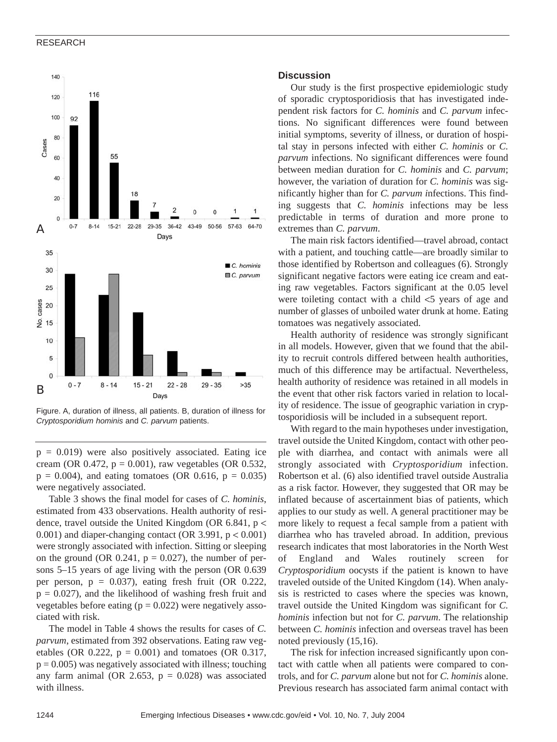

Figure. A, duration of illness, all patients. B, duration of illness for *Cryptosporidium hominis* and *C. parvum* patients.

 $p = 0.019$ ) were also positively associated. Eating ice cream (OR 0.472,  $p = 0.001$ ), raw vegetables (OR 0.532,  $p = 0.004$ ), and eating tomatoes (OR 0.616,  $p = 0.035$ ) were negatively associated.

Table 3 shows the final model for cases of *C. hominis*, estimated from 433 observations. Health authority of residence, travel outside the United Kingdom (OR 6.841, p <  $(0.001)$  and diaper-changing contact (OR 3.991,  $p < 0.001$ ) were strongly associated with infection. Sitting or sleeping on the ground (OR 0.241,  $p = 0.027$ ), the number of persons 5–15 years of age living with the person (OR 0.639 per person,  $p = 0.037$ ), eating fresh fruit (OR 0.222,  $p = 0.027$ , and the likelihood of washing fresh fruit and vegetables before eating  $(p = 0.022)$  were negatively associated with risk.

The model in Table 4 shows the results for cases of *C. parvum*, estimated from 392 observations. Eating raw vegetables (OR 0.222,  $p = 0.001$ ) and tomatoes (OR 0.317,  $p = 0.005$ ) was negatively associated with illness; touching any farm animal (OR 2.653,  $p = 0.028$ ) was associated with illness.

#### **Discussion**

Our study is the first prospective epidemiologic study of sporadic cryptosporidiosis that has investigated independent risk factors for *C. hominis* and *C. parvum* infections. No significant differences were found between initial symptoms, severity of illness, or duration of hospital stay in persons infected with either *C. hominis* or *C. parvum* infections. No significant differences were found between median duration for *C. hominis* and *C. parvum*; however, the variation of duration for *C. hominis* was significantly higher than for *C. parvum i*nfections. This finding suggests that *C. hominis* infections may be less predictable in terms of duration and more prone to extremes than *C. parvum*.

The main risk factors identified—travel abroad, contact with a patient, and touching cattle—are broadly similar to those identified by Robertson and colleagues (6). Strongly significant negative factors were eating ice cream and eating raw vegetables. Factors significant at the 0.05 level were toileting contact with a child <5 years of age and number of glasses of unboiled water drunk at home. Eating tomatoes was negatively associated.

Health authority of residence was strongly significant in all models. However, given that we found that the ability to recruit controls differed between health authorities, much of this difference may be artifactual. Nevertheless, health authority of residence was retained in all models in the event that other risk factors varied in relation to locality of residence. The issue of geographic variation in cryptosporidiosis will be included in a subsequent report.

With regard to the main hypotheses under investigation, travel outside the United Kingdom, contact with other people with diarrhea, and contact with animals were all strongly associated with *Cryptosporidium* infection. Robertson et al. (6) also identified travel outside Australia as a risk factor. However, they suggested that OR may be inflated because of ascertainment bias of patients, which applies to our study as well. A general practitioner may be more likely to request a fecal sample from a patient with diarrhea who has traveled abroad. In addition, previous research indicates that most laboratories in the North West of England and Wales routinely screen for *Cryptosporidium* oocysts if the patient is known to have traveled outside of the United Kingdom (14). When analysis is restricted to cases where the species was known, travel outside the United Kingdom was significant for *C. hominis* infection but not for *C. parvum*. The relationship between *C. hominis* infection and overseas travel has been noted previously (15,16).

The risk for infection increased significantly upon contact with cattle when all patients were compared to controls, and for *C. parvum* alone but not for *C. hominis* alone. Previous research has associated farm animal contact with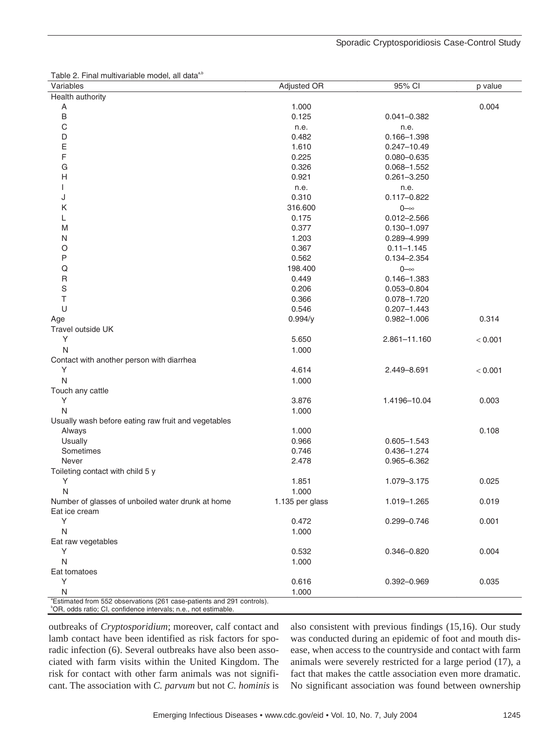Table 2. Final multivariable model, all data<sup>a,b</sup>

| Variables                                                                   | Adjusted OR     | 95% CI          | p value |
|-----------------------------------------------------------------------------|-----------------|-----------------|---------|
| Health authority                                                            |                 |                 |         |
| A                                                                           | 1.000           |                 | 0.004   |
| $\sf B$                                                                     | 0.125           | $0.041 - 0.382$ |         |
| С                                                                           | n.e.            | n.e.            |         |
| D                                                                           | 0.482           | $0.166 - 1.398$ |         |
| Ε                                                                           | 1.610           | $0.247 - 10.49$ |         |
| F                                                                           | 0.225           | 0.080-0.635     |         |
| G                                                                           | 0.326           | 0.068-1.552     |         |
| H                                                                           | 0.921           | 0.261-3.250     |         |
|                                                                             | n.e.            | n.e.            |         |
| J                                                                           | 0.310           | $0.117 - 0.822$ |         |
| κ                                                                           | 316.600         | $0-\infty$      |         |
| L                                                                           | 0.175           | $0.012 - 2.566$ |         |
| M                                                                           | 0.377           | 0.130-1.097     |         |
| N                                                                           | 1.203           | 0.289-4.999     |         |
| O                                                                           | 0.367           | $0.11 - 1.145$  |         |
| P                                                                           | 0.562           | $0.134 - 2.354$ |         |
| Q                                                                           | 198.400         | $0-\infty$      |         |
| R                                                                           | 0.449           | $0.146 - 1.383$ |         |
| S                                                                           | 0.206           | $0.053 - 0.804$ |         |
| Τ                                                                           | 0.366           | 0.078-1.720     |         |
| U                                                                           | 0.546           | 0.207-1.443     |         |
| Age                                                                         | 0.994/y         | $0.982 - 1.006$ | 0.314   |
| Travel outside UK                                                           |                 |                 |         |
| Υ                                                                           | 5.650           | 2.861-11.160    | < 0.001 |
| N                                                                           | 1.000           |                 |         |
| Contact with another person with diarrhea                                   |                 |                 |         |
| Υ                                                                           | 4.614           | 2.449-8.691     | < 0.001 |
| N                                                                           | 1.000           |                 |         |
| Touch any cattle                                                            |                 |                 |         |
| Υ                                                                           | 3.876           | 1.4196-10.04    | 0.003   |
| N                                                                           | 1.000           |                 |         |
| Usually wash before eating raw fruit and vegetables                         |                 |                 |         |
| Always                                                                      | 1.000           |                 | 0.108   |
| Usually                                                                     | 0.966           | 0.605-1.543     |         |
| Sometimes                                                                   | 0.746           | 0.436-1.274     |         |
| Never                                                                       | 2.478           | 0.965-6.362     |         |
| Toileting contact with child 5 y                                            |                 |                 |         |
| Υ                                                                           | 1.851           | 1.079-3.175     | 0.025   |
| $\mathsf{N}$                                                                | 1.000           |                 |         |
| Number of glasses of unboiled water drunk at home                           | 1.135 per glass | 1.019-1.265     | 0.019   |
| Eat ice cream                                                               |                 |                 |         |
| Y                                                                           | 0.472           | 0.299-0.746     | 0.001   |
| N                                                                           | 1.000           |                 |         |
| Eat raw vegetables                                                          |                 |                 |         |
| Υ                                                                           | 0.532           | $0.346 - 0.820$ | 0.004   |
| $\mathsf{N}$                                                                | 1.000           |                 |         |
| Eat tomatoes                                                                |                 |                 |         |
| Υ                                                                           | 0.616           | $0.392 - 0.969$ | 0.035   |
| N<br>Estimated from 552 observations (261 case-patients and 291 controls).  | 1.000           |                 |         |
| <sup>b</sup> OR, odds ratio; CI, confidence intervals; n.e., not estimable. |                 |                 |         |

outbreaks of *Cryptosporidium*; moreover, calf contact and lamb contact have been identified as risk factors for sporadic infection (6). Several outbreaks have also been associated with farm visits within the United Kingdom. The risk for contact with other farm animals was not significant. The association with *C. parvum* but not *C. hominis* is

also consistent with previous findings (15,16). Our study was conducted during an epidemic of foot and mouth disease, when access to the countryside and contact with farm animals were severely restricted for a large period (17), a fact that makes the cattle association even more dramatic. No significant association was found between ownership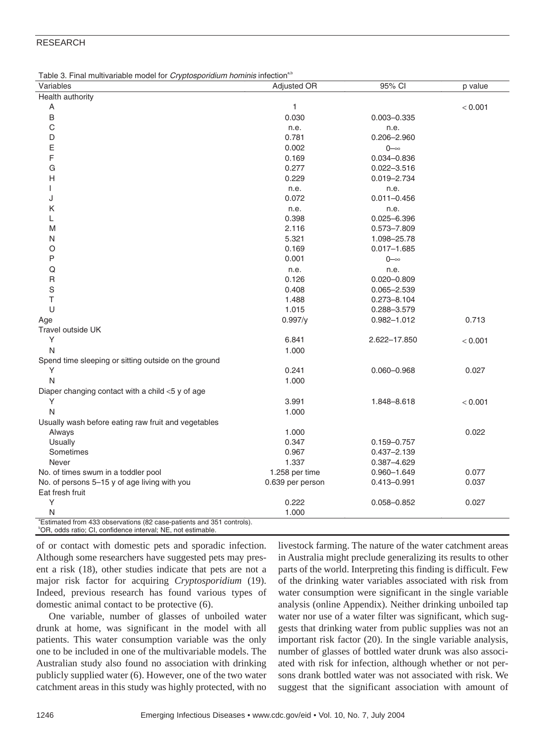ble 3. Final multivariable model for Cryptosporidium hominis infection<sup>a,b</sup>

| <b>I able 3. Final multivariable model for <i>Cryptosponditum nominis</i> integlion</b><br>Variables | Adjusted OR      | 95% CI          | p value |
|------------------------------------------------------------------------------------------------------|------------------|-----------------|---------|
| Health authority                                                                                     |                  |                 |         |
| Α                                                                                                    | $\mathbf{1}$     |                 | < 0.001 |
| B                                                                                                    | 0.030            | $0.003 - 0.335$ |         |
| C                                                                                                    | n.e.             | n.e.            |         |
| D                                                                                                    | 0.781            | $0.206 - 2.960$ |         |
| E                                                                                                    | 0.002            | $0 - \infty$    |         |
| F                                                                                                    | 0.169            | $0.034 - 0.836$ |         |
| G                                                                                                    | 0.277            | $0.022 - 3.516$ |         |
| Н                                                                                                    | 0.229            | 0.019-2.734     |         |
|                                                                                                      | n.e.             | n.e.            |         |
| J                                                                                                    | 0.072            | $0.011 - 0.456$ |         |
| Κ                                                                                                    | n.e.             | n.e.            |         |
|                                                                                                      | 0.398            | $0.025 - 6.396$ |         |
| M                                                                                                    | 2.116            | 0.573-7.809     |         |
| Ν                                                                                                    | 5.321            | 1.098-25.78     |         |
| O                                                                                                    | 0.169            | $0.017 - 1.685$ |         |
| P                                                                                                    | 0.001            | $0-\infty$      |         |
| Q                                                                                                    | n.e.             | n.e.            |         |
| R                                                                                                    | 0.126            | $0.020 - 0.809$ |         |
| S                                                                                                    | 0.408            | $0.065 - 2.539$ |         |
| Т                                                                                                    | 1.488            | $0.273 - 8.104$ |         |
| U                                                                                                    | 1.015            | 0.288-3.579     |         |
| Age                                                                                                  | 0.997/y          | 0.982-1.012     | 0.713   |
| Travel outside UK                                                                                    |                  |                 |         |
| Υ                                                                                                    | 6.841            | 2.622-17.850    | < 0.001 |
| N                                                                                                    | 1.000            |                 |         |
| Spend time sleeping or sitting outside on the ground                                                 |                  |                 |         |
| Υ                                                                                                    | 0.241            | $0.060 - 0.968$ | 0.027   |
| N                                                                                                    | 1.000            |                 |         |
| Diaper changing contact with a child <5 y of age                                                     |                  |                 |         |
| Y                                                                                                    | 3.991            | 1.848-8.618     | < 0.001 |
| N                                                                                                    | 1.000            |                 |         |
| Usually wash before eating raw fruit and vegetables                                                  |                  |                 |         |
| Always                                                                                               | 1.000            |                 | 0.022   |
| Usually                                                                                              | 0.347            | 0.159-0.757     |         |
| Sometimes                                                                                            | 0.967            | $0.437 - 2.139$ |         |
| Never                                                                                                | 1.337            | 0.387-4.629     |         |
| No. of times swum in a toddler pool                                                                  | 1.258 per time   | 0.960-1.649     | 0.077   |
| No. of persons 5-15 y of age living with you                                                         | 0.639 per person | 0.413-0.991     | 0.037   |
| Eat fresh fruit                                                                                      |                  |                 |         |
| Υ                                                                                                    | 0.222            | 0.058-0.852     | 0.027   |
| Ν                                                                                                    | 1.000            |                 |         |
| "Estimated from 433 observations (82 case-patients and 351 controls).                                |                  |                 |         |
| <sup>b</sup> OR, odds ratio; CI, confidence interval; NE, not estimable.                             |                  |                 |         |

of or contact with domestic pets and sporadic infection. Although some researchers have suggested pets may present a risk (18), other studies indicate that pets are not a major risk factor for acquiring *Cryptosporidium* (19). Indeed, previous research has found various types of domestic animal contact to be protective (6).

One variable, number of glasses of unboiled water drunk at home, was significant in the model with all patients. This water consumption variable was the only one to be included in one of the multivariable models. The Australian study also found no association with drinking publicly supplied water (6). However, one of the two water catchment areas in this study was highly protected, with no

livestock farming. The nature of the water catchment areas in Australia might preclude generalizing its results to other parts of the world. Interpreting this finding is difficult. Few of the drinking water variables associated with risk from water consumption were significant in the single variable analysis (online Appendix). Neither drinking unboiled tap water nor use of a water filter was significant, which suggests that drinking water from public supplies was not an important risk factor (20). In the single variable analysis, number of glasses of bottled water drunk was also associated with risk for infection, although whether or not persons drank bottled water was not associated with risk. We suggest that the significant association with amount of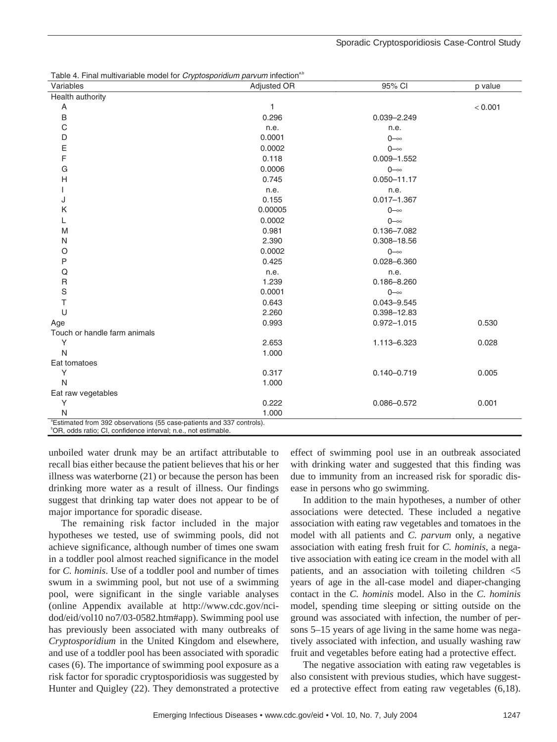Table 4. Final multivariable model for Cryptosporidium parvum infection<sup>ation</sup>

| Variables                                                                                       | Adjusted OR | 95% CI          | p value |  |  |
|-------------------------------------------------------------------------------------------------|-------------|-----------------|---------|--|--|
| Health authority                                                                                |             |                 |         |  |  |
| Α                                                                                               | 1           |                 | < 0.001 |  |  |
| B                                                                                               | 0.296       | $0.039 - 2.249$ |         |  |  |
| C                                                                                               | n.e.        | n.e.            |         |  |  |
| D                                                                                               | 0.0001      | $0-\infty$      |         |  |  |
| E                                                                                               | 0.0002      | $0-\infty$      |         |  |  |
| F                                                                                               | 0.118       | $0.009 - 1.552$ |         |  |  |
| G                                                                                               | 0.0006      | $0-\infty$      |         |  |  |
| H                                                                                               | 0.745       | $0.050 - 11.17$ |         |  |  |
|                                                                                                 | n.e.        | n.e.            |         |  |  |
| J                                                                                               | 0.155       | $0.017 - 1.367$ |         |  |  |
| Κ                                                                                               | 0.00005     | $0-\infty$      |         |  |  |
|                                                                                                 | 0.0002      | $0-\infty$      |         |  |  |
| M                                                                                               | 0.981       | $0.136 - 7.082$ |         |  |  |
| N                                                                                               | 2.390       | 0.308-18.56     |         |  |  |
| O                                                                                               | 0.0002      | $0-\infty$      |         |  |  |
| P                                                                                               | 0.425       | $0.028 - 6.360$ |         |  |  |
| Q                                                                                               | n.e.        | n.e.            |         |  |  |
| $\mathsf{R}$                                                                                    | 1.239       | $0.186 - 8.260$ |         |  |  |
| S                                                                                               | 0.0001      | $0-\infty$      |         |  |  |
| Τ                                                                                               | 0.643       | $0.043 - 9.545$ |         |  |  |
| U                                                                                               | 2.260       | 0.398-12.83     |         |  |  |
| Age                                                                                             | 0.993       | $0.972 - 1.015$ | 0.530   |  |  |
| Touch or handle farm animals                                                                    |             |                 |         |  |  |
| Υ                                                                                               | 2.653       | 1.113-6.323     | 0.028   |  |  |
| $\mathsf{N}$                                                                                    | 1.000       |                 |         |  |  |
| Eat tomatoes                                                                                    |             |                 |         |  |  |
| Υ                                                                                               | 0.317       | $0.140 - 0.719$ | 0.005   |  |  |
| $\mathsf{N}$                                                                                    | 1.000       |                 |         |  |  |
| Eat raw vegetables                                                                              |             |                 |         |  |  |
| Υ                                                                                               | 0.222       | $0.086 - 0.572$ | 0.001   |  |  |
| N                                                                                               | 1.000       |                 |         |  |  |
| <sup>a</sup> Estimated from 392 observations (55 case-patients and 337 controls).<br>$b \cap D$ |             |                 |         |  |  |

b OR, odds ratio; CI, confidence interval; n.e., not estimable.

unboiled water drunk may be an artifact attributable to recall bias either because the patient believes that his or her illness was waterborne (21) or because the person has been drinking more water as a result of illness. Our findings suggest that drinking tap water does not appear to be of major importance for sporadic disease.

The remaining risk factor included in the major hypotheses we tested, use of swimming pools, did not achieve significance, although number of times one swam in a toddler pool almost reached significance in the model for *C. hominis*. Use of a toddler pool and number of times swum in a swimming pool, but not use of a swimming pool, were significant in the single variable analyses (online Appendix available at http://www.cdc.gov/ncidod/eid/vol10 no7/03-0582.htm#app). Swimming pool use has previously been associated with many outbreaks of *Cryptosporidium* in the United Kingdom and elsewhere, and use of a toddler pool has been associated with sporadic cases (6). The importance of swimming pool exposure as a risk factor for sporadic cryptosporidiosis was suggested by Hunter and Quigley (22). They demonstrated a protective effect of swimming pool use in an outbreak associated with drinking water and suggested that this finding was due to immunity from an increased risk for sporadic disease in persons who go swimming.

In addition to the main hypotheses, a number of other associations were detected. These included a negative association with eating raw vegetables and tomatoes in the model with all patients and *C. parvum* only, a negative association with eating fresh fruit for *C. hominis*, a negative association with eating ice cream in the model with all patients, and an association with toileting children <5 years of age in the all-case model and diaper-changing contact in the *C. hominis* model. Also in the *C. hominis* model, spending time sleeping or sitting outside on the ground was associated with infection, the number of persons 5–15 years of age living in the same home was negatively associated with infection, and usually washing raw fruit and vegetables before eating had a protective effect.

The negative association with eating raw vegetables is also consistent with previous studies, which have suggested a protective effect from eating raw vegetables (6,18).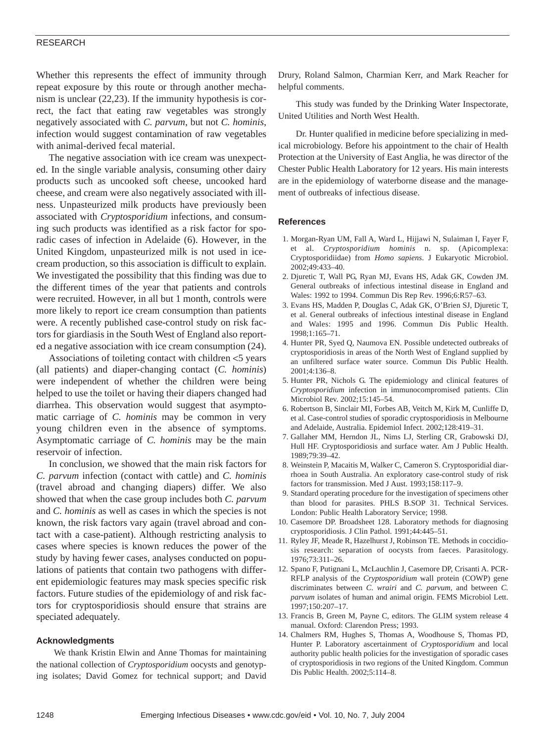Whether this represents the effect of immunity through repeat exposure by this route or through another mechanism is unclear (22,23). If the immunity hypothesis is correct, the fact that eating raw vegetables was strongly negatively associated with *C. parvum*, but not *C. hominis*, infection would suggest contamination of raw vegetables with animal-derived fecal material.

The negative association with ice cream was unexpected. In the single variable analysis, consuming other dairy products such as uncooked soft cheese, uncooked hard cheese, and cream were also negatively associated with illness. Unpasteurized milk products have previously been associated with *Cryptosporidium* infections, and consuming such products was identified as a risk factor for sporadic cases of infection in Adelaide (6). However, in the United Kingdom, unpasteurized milk is not used in icecream production, so this association is difficult to explain. We investigated the possibility that this finding was due to the different times of the year that patients and controls were recruited. However, in all but 1 month, controls were more likely to report ice cream consumption than patients were. A recently published case-control study on risk factors for giardiasis in the South West of England also reported a negative association with ice cream consumption (24).

Associations of toileting contact with children <5 years (all patients) and diaper-changing contact (*C. hominis*) were independent of whether the children were being helped to use the toilet or having their diapers changed had diarrhea. This observation would suggest that asymptomatic carriage of *C. hominis* may be common in very young children even in the absence of symptoms. Asymptomatic carriage of *C. hominis* may be the main reservoir of infection.

In conclusion, we showed that the main risk factors for *C. parvum* infection (contact with cattle) and *C. hominis* (travel abroad and changing diapers) differ. We also showed that when the case group includes both *C. parvum* and *C. hominis* as well as cases in which the species is not known, the risk factors vary again (travel abroad and contact with a case-patient). Although restricting analysis to cases where species is known reduces the power of the study by having fewer cases, analyses conducted on populations of patients that contain two pathogens with different epidemiologic features may mask species specific risk factors. Future studies of the epidemiology of and risk factors for cryptosporidiosis should ensure that strains are speciated adequately.

#### **Acknowledgments**

We thank Kristin Elwin and Anne Thomas for maintaining the national collection of *Cryptosporidium* oocysts and genotyping isolates; David Gomez for technical support; and David

Drury, Roland Salmon, Charmian Kerr, and Mark Reacher for helpful comments.

This study was funded by the Drinking Water Inspectorate, United Utilities and North West Health.

Dr. Hunter qualified in medicine before specializing in medical microbiology. Before his appointment to the chair of Health Protection at the University of East Anglia, he was director of the Chester Public Health Laboratory for 12 years. His main interests are in the epidemiology of waterborne disease and the management of outbreaks of infectious disease.

#### **References**

- 1. Morgan-Ryan UM, Fall A, Ward L, Hijjawi N, Sulaiman I, Fayer F, et al. *Cryptosporidium hominis* n. sp. (Apicomplexa: Cryptosporidiidae) from *Homo sapiens*. J Eukaryotic Microbiol. 2002;49:433–40.
- 2. Djuretic T, Wall PG, Ryan MJ, Evans HS, Adak GK, Cowden JM. General outbreaks of infectious intestinal disease in England and Wales: 1992 to 1994. Commun Dis Rep Rev. 1996;6:R57–63.
- 3. Evans HS, Madden P, Douglas C, Adak GK, O'Brien SJ, Djuretic T, et al. General outbreaks of infectious intestinal disease in England and Wales: 1995 and 1996. Commun Dis Public Health. 1998;1:165–71.
- 4. Hunter PR, Syed Q, Naumova EN. Possible undetected outbreaks of cryptosporidiosis in areas of the North West of England supplied by an unfiltered surface water source. Commun Dis Public Health. 2001;4:136–8.
- 5. Hunter PR, Nichols G. The epidemiology and clinical features of *Cryptosporidium* infection in immunocompromised patients. Clin Microbiol Rev. 2002;15:145–54.
- 6. Robertson B, Sinclair MI, Forbes AB, Veitch M, Kirk M, Cunliffe D, et al. Case-control studies of sporadic cryptosporidiosis in Melbourne and Adelaide, Australia. Epidemiol Infect. 2002;128:419–31.
- 7. Gallaher MM, Herndon JL, Nims LJ, Sterling CR, Grabowski DJ, Hull HF. Cryptosporidiosis and surface water. Am J Public Health. 1989;79:39–42.
- 8. Weinstein P, Macaitis M, Walker C, Cameron S. Cryptosporidial diarrhoea in South Australia. An exploratory case-control study of risk factors for transmission. Med J Aust. 1993;158:117–9.
- 9. Standard operating procedure for the investigation of specimens other than blood for parasites. PHLS B.SOP 31. Technical Services. London: Public Health Laboratory Service; 1998.
- 10. Casemore DP. Broadsheet 128. Laboratory methods for diagnosing cryptosporidiosis. J Clin Pathol. 1991;44:445–51.
- 11. Ryley JF, Meade R, Hazelhurst J, Robinson TE. Methods in coccidiosis research: separation of oocysts from faeces. Parasitology. 1976;73:311–26.
- 12. Spano F, Putignani L, McLauchlin J, Casemore DP, Crisanti A. PCR-RFLP analysis of the *Cryptosporidium* wall protein (COWP) gene discriminates between *C. wrairi* and *C. parvum*, and between *C. parvum* isolates of human and animal origin*.* FEMS Microbiol Lett. 1997;150:207–17.
- 13. Francis B, Green M, Payne C, editors. The GLIM system release 4 manual. Oxford: Clarendon Press; 1993.
- 14. Chalmers RM, Hughes S, Thomas A, Woodhouse S, Thomas PD, Hunter P. Laboratory ascertainment of *Cryptosporidium* and local authority public health policies for the investigation of sporadic cases of cryptosporidiosis in two regions of the United Kingdom. Commun Dis Public Health. 2002;5:114–8.